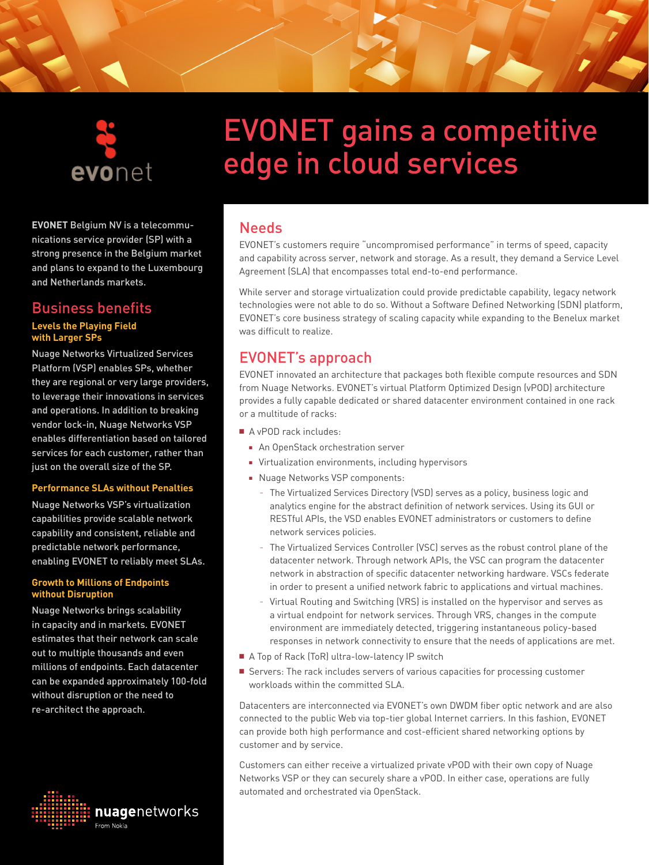

### **EVONET** Belgium NV is a telecommunications service provider (SP) with a strong presence in the Belgium market and plans to expand to the Luxembourg and Netherlands markets.

## Business benefits **Levels the Playing Field with Larger SPs**

Nuage Networks Virtualized Services Platform (VSP) enables SPs, whether they are regional or very large providers, to leverage their innovations in services and operations. In addition to breaking vendor lock-in, Nuage Networks VSP enables differentiation based on tailored services for each customer, rather than just on the overall size of the SP.

#### **Performance SLAs without Penalties**

Nuage Networks VSP's virtualization capabilities provide scalable network capability and consistent, reliable and predictable network performance, enabling EVONET to reliably meet SLAs.

#### **Growth to Millions of Endpoints without Disruption**

Nuage Networks brings scalability in capacity and in markets. EVONET estimates that their network can scale out to multiple thousands and even millions of endpoints. Each datacenter can be expanded approximately 100-fold without disruption or the need to re-architect the approach.



# EVONET gains a competitive edge in cloud services

# **Needs**

EVONET's customers require "uncompromised performance" in terms of speed, capacity and capability across server, network and storage. As a result, they demand a Service Level Agreement (SLA) that encompasses total end-to-end performance.

While server and storage virtualization could provide predictable capability, legacy network technologies were not able to do so. Without a Software Defined Networking (SDN) platform, EVONET's core business strategy of scaling capacity while expanding to the Benelux market was difficult to realize.

# EVONET's approach

EVONET innovated an architecture that packages both flexible compute resources and SDN from Nuage Networks. EVONET's virtual Platform Optimized Design (vPOD) architecture provides a fully capable dedicated or shared datacenter environment contained in one rack or a multitude of racks:

■ A vPOD rack includes:

- An OpenStack orchestration server
- Virtualization environments, including hypervisors
- Nuage Networks VSP components:
	- <sup>−</sup> The Virtualized Services Directory (VSD) serves as a policy, business logic and analytics engine for the abstract definition of network services. Using its GUI or RESTful APIs, the VSD enables EVONET administrators or customers to define network services policies.
	- <sup>−</sup> The Virtualized Services Controller (VSC) serves as the robust control plane of the datacenter network. Through network APIs, the VSC can program the datacenter network in abstraction of specific datacenter networking hardware. VSCs federate in order to present a unified network fabric to applications and virtual machines.
	- <sup>−</sup> Virtual Routing and Switching (VRS) is installed on the hypervisor and serves as a virtual endpoint for network services. Through VRS, changes in the compute environment are immediately detected, triggering instantaneous policy-based responses in network connectivity to ensure that the needs of applications are met.
- A Top of Rack (ToR) ultra-low-latency IP switch
- Servers: The rack includes servers of various capacities for processing customer workloads within the committed SLA.

Datacenters are interconnected via EVONET's own DWDM fiber optic network and are also connected to the public Web via top-tier global Internet carriers. In this fashion, EVONET can provide both high performance and cost-efficient shared networking options by customer and by service.

Customers can either receive a virtualized private vPOD with their own copy of Nuage Networks VSP or they can securely share a vPOD. In either case, operations are fully automated and orchestrated via OpenStack.